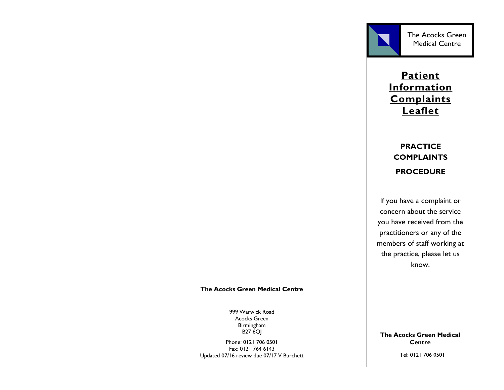

# **Patient Information Complaints Leaflet**

# **PRACTICE COMPLAINTS PROCEDURE**

If you have a complaint or concern about the service you have received from the practitioners or any of the members of staff working at the practice, please let us know.

#### **The Acocks Green Medical Centre**

999 Warwick Road Acocks Green Birmingham B27 6QJ

Phone: 0121 706 0501 Fax: 0121 764 6143 Updated 07/16 review due 07/17 V Burchett **The Acocks Green Medical Centre**

Tel: 0121 706 0501